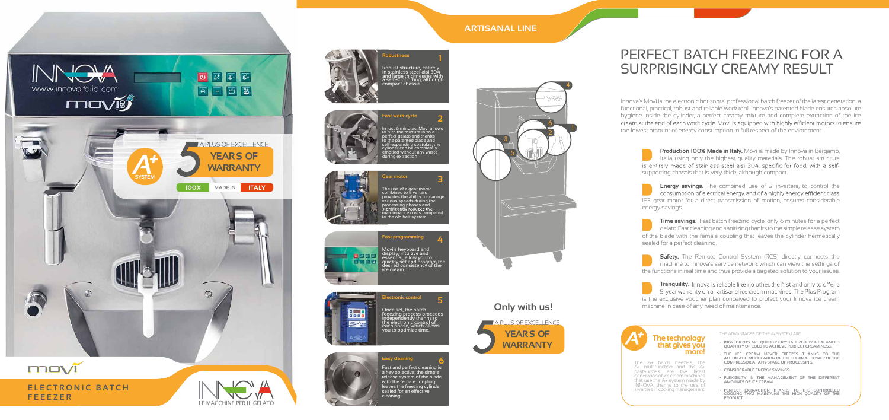

## **Only with us!**



# PERFECT BATCH FREEZING FOR A SURPRISINGLY CREAMY RESULT ARTISANAL LINE<br>PERFECT BATCH FREEZING FOR<br>SURPRISINGLY CREAMY RESULT

Production 100% Made in Italy. Movì is made by Innova in Bergamo, Italia using only the highest quality materials. The robust structure . supporting chassis that is very thick, although compact. .

**Energy savings.** The combined use of 2 inverters, to control the , **Energy savings.** The combined use of 2 inverters, to control the consumption of electrical energy, and of a highly energy efficient class IE3 gear motor for a direct transmission of motion, ensures considerable , energy savings.

Time savings. Fast batch freezing cycle, only 6 minutes for a perfect , gelato. Fast cleaning and sanitizing thanks to the simple release system . gelato. Fast cleaning and sanitizing thanks to the simple release system<br>of the blade with the female coupling that leaves the cylinder hermetically sealed for a perfect cleaning. .

**Safety.** The Remote Control System (RCS) directly connects the<br>machine to Innova's service network, which can view the settings of machine to Innova's service network, which can view the settings of ' , the functions in real time and thus provide a targeted solution to your issues.

**R o b u s t n e s s obust** 

Robușt structure, ențirely in stainless steel aisi 304 a nd l a r ge th i c k n e s s es with a self-súpporting, althou gh a self-súpporting, although<br>compact chassis. . Robust structure, entirely<br>in stainless steel aisi 304 nd large thicknesses with<br>self-supporting, although **1**<br>e, entirely<br>el aisi 304<br>nesses with<br>ng, althougl<br>is.

### Movì's keyboard and display, intuitive and essential, allow you to quickly set and program the desired consistency of the intuitive and<br>al, allow you to<br>set and program th<br>consistency of the Movi's keyboard and<br>display, intuitive and<br>essential, allow you to<br>quickly set and program<br>desired consistency of th<br>ice cream.

ast programming

**Tranquility.** is the exclusive voucher plan conceived to protect your Innova ice cream<br>machine in case of any need of maintenance. **with us!** end of maintenance machine in case of any need of maintenance .

### **The technology t h at g i ve s you h a t g you m**  $m$  *o***re!**

The A+ batch freezers, the , A+ multifunction and the A+ pasteurizers are the latest pasteurizers are the latest<br>generation of ice cream machines that use the A+ system made by INNOVA, thanks to the use of , inverters in cooling management . The A+ batch freezer The A+ batch freezers, the<br>A+ multifunction and the A+ INNOVA, thanks<sup>´</sup> to the use<br>inverters in cooling managem

- **• INGREDIENTS ARE QUICK LY CRYS TALLIZED BY A BALANCED INGREDIENTSARE QUICK LY** INGREDIENTS ARE QUICKLY CRYSTALLIZED BY A BALANCED<br>QUANTITY OF COLD TO ACHIEVE PERFECT CREAMINESS.
- **• THE ICE CREAM NEVER FREEZES THANKS TO THE AUTOM ATIC MODUL ATION OF THE THERMAL POWER OF THE THEICECREAM NEVER TOTHE ATICTHERMAL THE COMPRESSOR AT ANY STAGE OF PROCESSING.**
- **• CONSIDERABLE ENERGY S AVINGS.**
- **• FLEXIBILITY IN THE MANAGEMENT OF THE DIFFERENT AMOUNTS OF ICE CREAM.** CONSIDERABLE ENERGY SAVINGS.<br>FLEXIBILITY IN THE MANAGEMENT OF THE DIFFERENT<br>AMOUNTS OF ICE CREAM.
- **•** PERFECT EXTRACTION THANKS TO THE CONTROLLED **COOLING TH AT MAIN TAINS THE HIGH QUALITY OF THE PRODUCT.** PERFECT EXTRACTION THANKS TO THE CONTROLLED<br>COOLING THAT MAINTAINS THE HIGH QUALITY OF THE<br>PRODUCT.

**1**





Innova's Movì is the electronic horizontal professional batch freezer of the latest generation: a ' functional, practical, robust and reliable work tool. Innova's patented blade ensures absolute , , . ' functional, practical, robust and reliable work tool. Innova's patented blade ensures absolute<br>hygiene inside the cylinder, a perfect creamy mixture and complete extraction of the ice the lowest amount of energy consumption in full respect of the environment . '

**2**

**a**



**4**





## **ARTISANAL LINE**

**E l e**



# **ctronic control**

Once set, the batch feeezing process proceeds independently thanks to the electronic control of each phase, which allows you to optimize tim e. feeezing process proceeds<br>independently thanks to electronic control e ach p h **5**<br>proceeds<br>iks to<br>ol of<br>allows<br>e.



**5**

**E**

### **Gear motor** The use of a gear motor combined to inverters provides the ability to manage v a rio us spee ds dur i ng t he processing phases and **3** The use of a gear mo<br>combined to inverter: provides the ability to manage<br>various speeds during the various speeds during the<br>processing phases and **3**

măintena nće costs compared to the old belt system

THE AD VAN TAGES OF THE A+ SYSTEM ARE:



In just 6 minutes, Moví allows to turn the mixture intro a perfect gelato and thanks to the patented blade and self-expanding spatulas, t he y l i nder c an be c omple t e ly emp t i ed wit h o ut a ny w a ste u r i ng ex tra c t i o n to turn the mixture intro<br>perfect gelato and thank to the patented blade and f-e x p a n i ng ylin d er can .<br>o m p l cylinder can be completely<br>emptied without any waste m ptied w i th ste e x t r a c ti Fast work cycle<br>In just 6 minutes, Movi allows<br>to turn the mixture intro a<br>perfect gelato and thanks<br>to the patented blade and<br>self-expanding spatulas, the<br>cylinder can be completely<br>emptied without any waste<br>during extrac

ast work cycle

### . ast and pendet creating is<br>a key objective: the simple a key objective. the Simple<br>release system of the blade release system of the blade<br>with the famele caugling with the female coupling  $\overline{\phantom{a}}$ leaves the freezing cylinder sealed for an effective **6**<br>ning is<br>imple<br>! blade<br>ling<br>/linder<br>e r det drie periode clearing is<br>a key objective: the simple<br>release system of the blade release system or the blad<br>with the female coupling leaves the freezing cylinder st and perfect cleaning<br>ey objective: the simple<br>ease system of the blac<br>h the female coupling<br>ves the freezing cylinde<br>aled for an effective Fast and perfect cleaning is a key objective: the simple release system of the blade with the female coupling leaves the freezing cylinder cleaning. **6**



**a sy c lean i n g l e a nEasy cleaning**